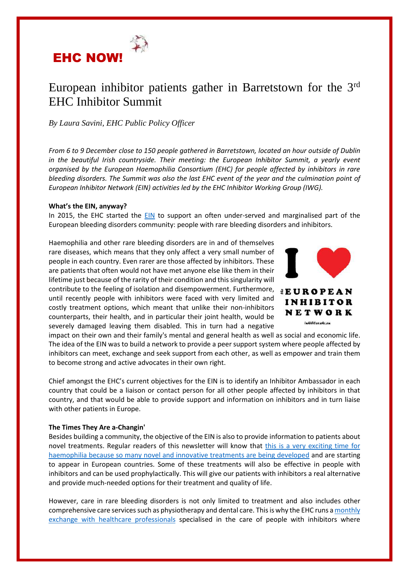

# European inhibitor patients gather in Barretstown for the 3rd EHC Inhibitor Summit

*By Laura Savini, EHC Public Policy Officer*

*From 6 to 9 December close to 150 people gathered in Barretstown, located an hour outside of Dublin in the beautiful Irish countryside. Their meeting: the European Inhibitor Summit, a yearly event organised by the European Haemophilia Consortium (EHC) for people affected by inhibitors in rare bleeding disorders. The Summit was also the last EHC event of the year and the culmination point of European Inhibitor Network (EIN) activities led by the EHC Inhibitor Working Group (IWG).* 

## **What's the EIN, anyway?**

In 2015, the EHC started the [EIN](https://inhibitor.ehc.eu/) to support an often under-served and marginalised part of the European bleeding disorders community: people with rare bleeding disorders and inhibitors.

Haemophilia and other rare bleeding disorders are in and of themselves rare diseases, which means that they only affect a very small number of people in each country. Even rarer are those affected by inhibitors. These are patients that often would not have met anyone else like them in their lifetime just because of the rarity of their condition and this singularity will contribute to the feeling of isolation and disempowerment. Furthermore, until recently people with inhibitors were faced with very limited and costly treatment options, which meant that unlike their non-inhibitors counterparts, their health, and in particular their joint health, would be severely damaged leaving them disabled. This in turn had a negative



impact on their own and their family's mental and general health as well as social and economic life. The idea of the EIN was to build a network to provide a peer support system where people affected by inhibitors can meet, exchange and seek support from each other, as well as empower and train them to become strong and active advocates in their own right.

Chief amongst the EHC's current objectives for the EIN is to identify an Inhibitor Ambassador in each country that could be a liaison or contact person for all other people affected by inhibitors in that country, and that would be able to provide support and information on inhibitors and in turn liaise with other patients in Europe.

## **The Times They Are a-Changin'**

Besides building a community, the objective of the EIN is also to provide information to patients about novel treatments. Regular readers of this newsletter will know that [this is a very exciting time for](https://www.ehc.eu/wp-content/uploads/NPR-FINAL-FOR-WEB-.pdf)  [haemophilia because so many novel and innovative treatments are being developed](https://www.ehc.eu/wp-content/uploads/NPR-FINAL-FOR-WEB-.pdf) and are starting to appear in European countries. Some of these treatments will also be effective in people with inhibitors and can be used prophylactically. This will give our patients with inhibitors a real alternative and provide much-needed options for their treatment and quality of life.

However, care in rare bleeding disorders is not only limited to treatment and also includes other comprehensive care services such as physiotherapy and dental care. This is why the EHC runs [a monthly](https://inhibitor.ehc.eu/ask-the-expert/1-november-2018-importance-of-dental-care-in-haemophilia-patients-with-inhibitors-dr-alison-dougall/) [exchange with healthcare professionals](https://inhibitor.ehc.eu/ask-the-expert/1-november-2018-importance-of-dental-care-in-haemophilia-patients-with-inhibitors-dr-alison-dougall/) specialised in the care of people with inhibitors where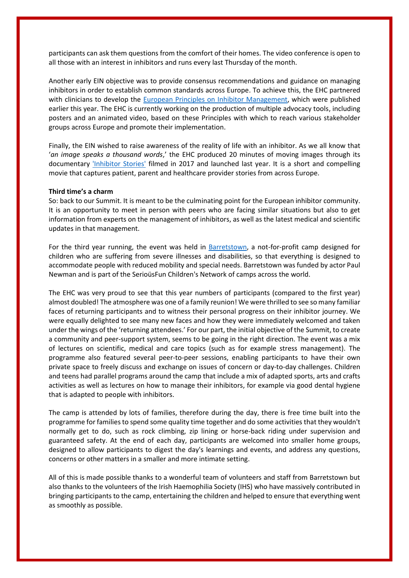participants can ask them questions from the comfort of their homes. The video conference is open to all those with an interest in inhibitors and runs every last Thursday of the month.

Another early EIN objective was to provide consensus recommendations and guidance on managing inhibitors in order to establish common standards across Europe. To achieve this, the EHC partnered with clinicians to develop the [European Principles on Inhibitor Management,](http://eahad.org/wp-content/uploads/2018/04/EPIM_Published-version.pdf) which were published earlier this year. The EHC is currently working on the production of multiple advocacy tools, including posters and an animated video, based on these Principles with which to reach various stakeholder groups across Europe and promote their implementation.

Finally, the EIN wished to raise awareness of the reality of life with an inhibitor. As we all know that '*an image speaks a thousand words*,' the EHC produced 20 minutes of moving images through its documentary ['Inhibitor Stories'](https://www.youtube.com/watch?v=3nZ8pLZS5SE&t=388s) filmed in 2017 and launched last year. It is a short and compelling movie that captures patient, parent and healthcare provider stories from across Europe.

## **Third time's a charm**

So: back to our Summit. It is meant to be the culminating point for the European inhibitor community. It is an opportunity to meet in person with peers who are facing similar situations but also to get information from experts on the management of inhibitors, as well as the latest medical and scientific updates in that management.

For the third year running, the event was held in [Barretstown,](https://www.barretstown.org/) a not-for-profit camp designed for children who are suffering from severe illnesses and disabilities, so that everything is designed to accommodate people with reduced mobility and special needs. Barretstown was funded by actor Paul Newman and is part of the SerioüsFun Children's Network of camps across the world.

The EHC was very proud to see that this year numbers of participants (compared to the first year) almost doubled! The atmosphere was one of a family reunion! We were thrilled to see so many familiar faces of returning participants and to witness their personal progress on their inhibitor journey. We were equally delighted to see many new faces and how they were immediately welcomed and taken under the wings of the 'returning attendees.' For our part, the initial objective of the Summit, to create a community and peer-support system, seems to be going in the right direction. The event was a mix of lectures on scientific, medical and care topics (such as for example stress management). The programme also featured several peer-to-peer sessions, enabling participants to have their own private space to freely discuss and exchange on issues of concern or day-to-day challenges. Children and teens had parallel programs around the camp that include a mix of adapted sports, arts and crafts activities as well as lectures on how to manage their inhibitors, for example via good dental hygiene that is adapted to people with inhibitors.

The camp is attended by lots of families, therefore during the day, there is free time built into the programme for families to spend some quality time together and do some activities that they wouldn't normally get to do, such as rock climbing, zip lining or horse-back riding under supervision and guaranteed safety. At the end of each day, participants are welcomed into smaller home groups, designed to allow participants to digest the day's learnings and events, and address any questions, concerns or other matters in a smaller and more intimate setting.

All of this is made possible thanks to a wonderful team of volunteers and staff from Barretstown but also thanks to the volunteers of the Irish Haemophilia Society (IHS) who have massively contributed in bringing participants to the camp, entertaining the children and helped to ensure that everything went as smoothly as possible.